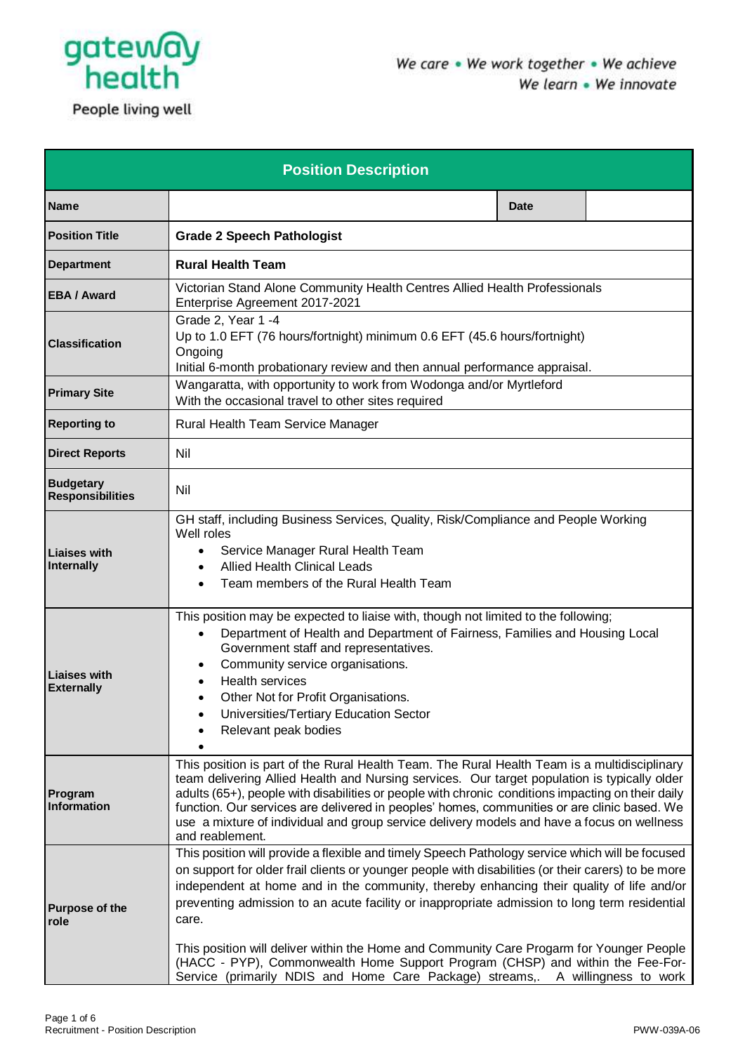

| <b>Position Description</b>                 |                                                                                                                                                                                                                                                                                                                                                                                                                                                                                                                   |  |  |  |
|---------------------------------------------|-------------------------------------------------------------------------------------------------------------------------------------------------------------------------------------------------------------------------------------------------------------------------------------------------------------------------------------------------------------------------------------------------------------------------------------------------------------------------------------------------------------------|--|--|--|
| <b>Name</b>                                 | <b>Date</b>                                                                                                                                                                                                                                                                                                                                                                                                                                                                                                       |  |  |  |
| <b>Position Title</b>                       | <b>Grade 2 Speech Pathologist</b>                                                                                                                                                                                                                                                                                                                                                                                                                                                                                 |  |  |  |
| <b>Department</b>                           | <b>Rural Health Team</b>                                                                                                                                                                                                                                                                                                                                                                                                                                                                                          |  |  |  |
| <b>EBA / Award</b>                          | Victorian Stand Alone Community Health Centres Allied Health Professionals<br>Enterprise Agreement 2017-2021                                                                                                                                                                                                                                                                                                                                                                                                      |  |  |  |
| <b>Classification</b>                       | Grade 2, Year 1 -4<br>Up to 1.0 EFT (76 hours/fortnight) minimum 0.6 EFT (45.6 hours/fortnight)<br>Ongoing<br>Initial 6-month probationary review and then annual performance appraisal.                                                                                                                                                                                                                                                                                                                          |  |  |  |
| <b>Primary Site</b>                         | Wangaratta, with opportunity to work from Wodonga and/or Myrtleford<br>With the occasional travel to other sites required                                                                                                                                                                                                                                                                                                                                                                                         |  |  |  |
| <b>Reporting to</b>                         | Rural Health Team Service Manager                                                                                                                                                                                                                                                                                                                                                                                                                                                                                 |  |  |  |
| <b>Direct Reports</b>                       | Nil                                                                                                                                                                                                                                                                                                                                                                                                                                                                                                               |  |  |  |
| <b>Budgetary</b><br><b>Responsibilities</b> | Nil                                                                                                                                                                                                                                                                                                                                                                                                                                                                                                               |  |  |  |
| Liaises with<br>Internally                  | GH staff, including Business Services, Quality, Risk/Compliance and People Working<br>Well roles<br>Service Manager Rural Health Team<br>$\bullet$<br><b>Allied Health Clinical Leads</b><br>$\bullet$<br>Team members of the Rural Health Team                                                                                                                                                                                                                                                                   |  |  |  |
| <b>Liaises with</b><br><b>Externally</b>    | This position may be expected to liaise with, though not limited to the following;<br>Department of Health and Department of Fairness, Families and Housing Local<br>$\bullet$<br>Government staff and representatives.<br>Community service organisations.<br><b>Health services</b><br>Other Not for Profit Organisations.<br>Universities/Tertiary Education Sector<br>Relevant peak bodies                                                                                                                    |  |  |  |
| Program<br>Information                      | This position is part of the Rural Health Team. The Rural Health Team is a multidisciplinary<br>team delivering Allied Health and Nursing services. Our target population is typically older<br>adults (65+), people with disabilities or people with chronic conditions impacting on their daily<br>function. Our services are delivered in peoples' homes, communities or are clinic based. We<br>use a mixture of individual and group service delivery models and have a focus on wellness<br>and reablement. |  |  |  |
| <b>Purpose of the</b><br>role               | This position will provide a flexible and timely Speech Pathology service which will be focused<br>on support for older frail clients or younger people with disabilities (or their carers) to be more<br>independent at home and in the community, thereby enhancing their quality of life and/or<br>preventing admission to an acute facility or inappropriate admission to long term residential<br>care.<br>This position will deliver within the Home and Community Care Progarm for Younger People          |  |  |  |
|                                             | (HACC - PYP), Commonwealth Home Support Program (CHSP) and within the Fee-For-<br>Service (primarily NDIS and Home Care Package) streams,. A willingness to work                                                                                                                                                                                                                                                                                                                                                  |  |  |  |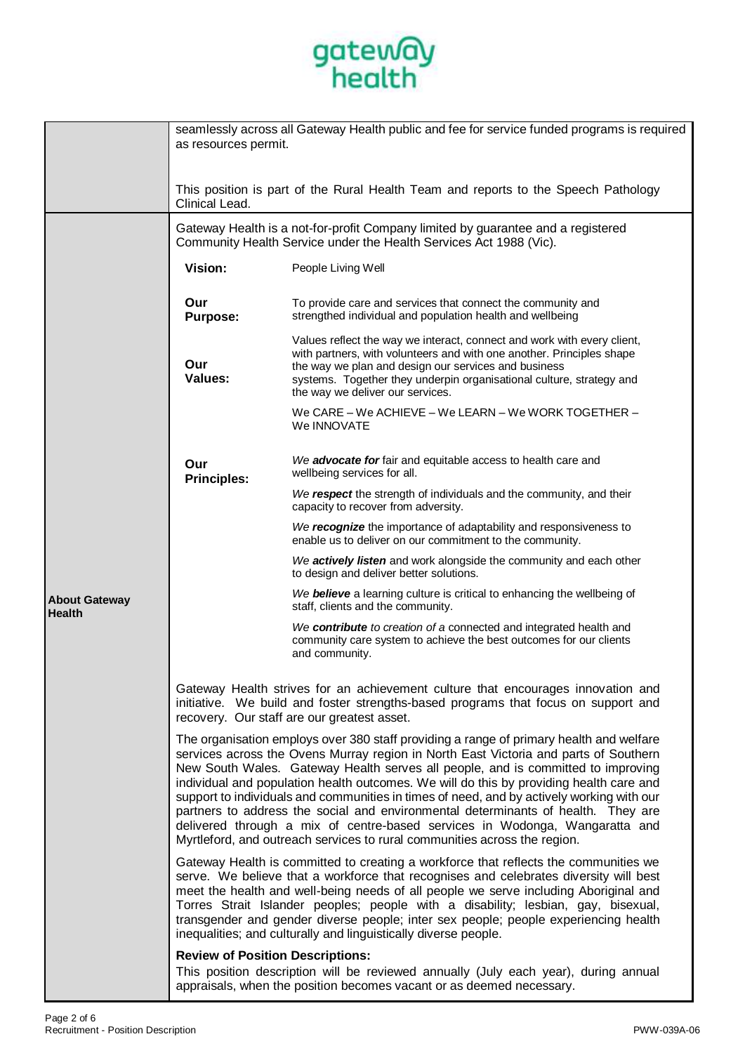

|                                       | seamlessly across all Gateway Health public and fee for service funded programs is required<br>as resources permit.                                                                                                                                                                                                                                                                                                                                                                                                                                                                                                                                                                                          |                                                                                                                                                                                                                                                                                                                      |  |  |
|---------------------------------------|--------------------------------------------------------------------------------------------------------------------------------------------------------------------------------------------------------------------------------------------------------------------------------------------------------------------------------------------------------------------------------------------------------------------------------------------------------------------------------------------------------------------------------------------------------------------------------------------------------------------------------------------------------------------------------------------------------------|----------------------------------------------------------------------------------------------------------------------------------------------------------------------------------------------------------------------------------------------------------------------------------------------------------------------|--|--|
|                                       |                                                                                                                                                                                                                                                                                                                                                                                                                                                                                                                                                                                                                                                                                                              |                                                                                                                                                                                                                                                                                                                      |  |  |
|                                       | Clinical Lead.                                                                                                                                                                                                                                                                                                                                                                                                                                                                                                                                                                                                                                                                                               | This position is part of the Rural Health Team and reports to the Speech Pathology                                                                                                                                                                                                                                   |  |  |
|                                       | Gateway Health is a not-for-profit Company limited by guarantee and a registered<br>Community Health Service under the Health Services Act 1988 (Vic).                                                                                                                                                                                                                                                                                                                                                                                                                                                                                                                                                       |                                                                                                                                                                                                                                                                                                                      |  |  |
|                                       | Vision:                                                                                                                                                                                                                                                                                                                                                                                                                                                                                                                                                                                                                                                                                                      | People Living Well                                                                                                                                                                                                                                                                                                   |  |  |
|                                       | Our<br><b>Purpose:</b>                                                                                                                                                                                                                                                                                                                                                                                                                                                                                                                                                                                                                                                                                       | To provide care and services that connect the community and<br>strengthed individual and population health and wellbeing                                                                                                                                                                                             |  |  |
|                                       | Our<br>Values:                                                                                                                                                                                                                                                                                                                                                                                                                                                                                                                                                                                                                                                                                               | Values reflect the way we interact, connect and work with every client,<br>with partners, with volunteers and with one another. Principles shape<br>the way we plan and design our services and business<br>systems. Together they underpin organisational culture, strategy and<br>the way we deliver our services. |  |  |
|                                       |                                                                                                                                                                                                                                                                                                                                                                                                                                                                                                                                                                                                                                                                                                              | We CARE – We ACHIEVE – We LEARN – We WORK TOGETHER –<br>We INNOVATE                                                                                                                                                                                                                                                  |  |  |
|                                       | Our<br><b>Principles:</b>                                                                                                                                                                                                                                                                                                                                                                                                                                                                                                                                                                                                                                                                                    | We advocate for fair and equitable access to health care and<br>wellbeing services for all.                                                                                                                                                                                                                          |  |  |
|                                       |                                                                                                                                                                                                                                                                                                                                                                                                                                                                                                                                                                                                                                                                                                              | We respect the strength of individuals and the community, and their<br>capacity to recover from adversity.                                                                                                                                                                                                           |  |  |
|                                       |                                                                                                                                                                                                                                                                                                                                                                                                                                                                                                                                                                                                                                                                                                              | We recognize the importance of adaptability and responsiveness to<br>enable us to deliver on our commitment to the community.                                                                                                                                                                                        |  |  |
| <b>About Gateway</b><br><b>Health</b> |                                                                                                                                                                                                                                                                                                                                                                                                                                                                                                                                                                                                                                                                                                              | We actively listen and work alongside the community and each other<br>to design and deliver better solutions.                                                                                                                                                                                                        |  |  |
|                                       |                                                                                                                                                                                                                                                                                                                                                                                                                                                                                                                                                                                                                                                                                                              | We believe a learning culture is critical to enhancing the wellbeing of<br>staff, clients and the community.                                                                                                                                                                                                         |  |  |
|                                       |                                                                                                                                                                                                                                                                                                                                                                                                                                                                                                                                                                                                                                                                                                              | We contribute to creation of a connected and integrated health and<br>community care system to achieve the best outcomes for our clients<br>and community.                                                                                                                                                           |  |  |
|                                       | Gateway Health strives for an achievement culture that encourages innovation and<br>initiative. We build and foster strengths-based programs that focus on support and<br>recovery. Our staff are our greatest asset.                                                                                                                                                                                                                                                                                                                                                                                                                                                                                        |                                                                                                                                                                                                                                                                                                                      |  |  |
|                                       | The organisation employs over 380 staff providing a range of primary health and welfare<br>services across the Ovens Murray region in North East Victoria and parts of Southern<br>New South Wales. Gateway Health serves all people, and is committed to improving<br>individual and population health outcomes. We will do this by providing health care and<br>support to individuals and communities in times of need, and by actively working with our<br>partners to address the social and environmental determinants of health. They are<br>delivered through a mix of centre-based services in Wodonga, Wangaratta and<br>Myrtleford, and outreach services to rural communities across the region. |                                                                                                                                                                                                                                                                                                                      |  |  |
|                                       | Gateway Health is committed to creating a workforce that reflects the communities we<br>serve. We believe that a workforce that recognises and celebrates diversity will best<br>meet the health and well-being needs of all people we serve including Aboriginal and<br>Torres Strait Islander peoples; people with a disability; lesbian, gay, bisexual,<br>transgender and gender diverse people; inter sex people; people experiencing health<br>inequalities; and culturally and linguistically diverse people.                                                                                                                                                                                         |                                                                                                                                                                                                                                                                                                                      |  |  |
|                                       | <b>Review of Position Descriptions:</b>                                                                                                                                                                                                                                                                                                                                                                                                                                                                                                                                                                                                                                                                      | This position description will be reviewed annually (July each year), during annual<br>appraisals, when the position becomes vacant or as deemed necessary.                                                                                                                                                          |  |  |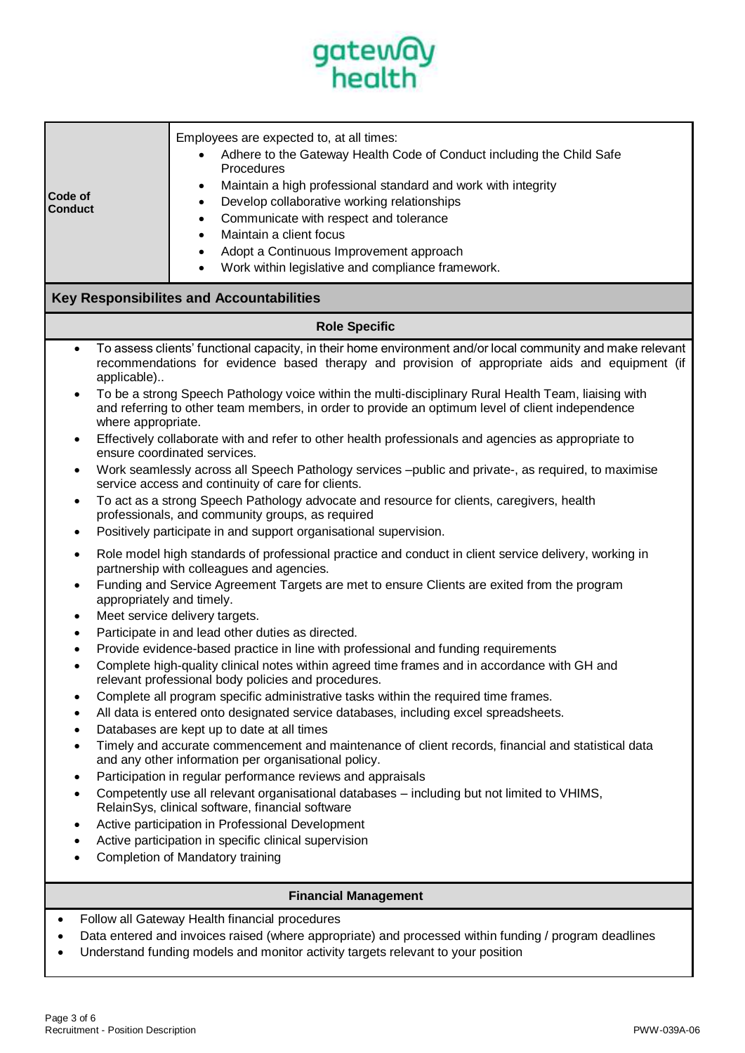

| Code of<br><b>Conduct</b>                                                                                  | Employees are expected to, at all times:<br>Adhere to the Gateway Health Code of Conduct including the Child Safe<br>Procedures<br>Maintain a high professional standard and work with integrity<br>٠<br>Develop collaborative working relationships<br>٠<br>Communicate with respect and tolerance<br>$\bullet$<br>Maintain a client focus<br>$\bullet$<br>Adopt a Continuous Improvement approach<br>Work within legislative and compliance framework.                                                                                                                                                                                                                                                                                                                                                                                                                                                                                                                                                                                                                                                                                                                                                                                                                                                                                                                                                                                                                                                                                                                                                                                                                                                                                                                                                                                                                                                                                                                                                                                                                                                                                                                                                                                                                                                  |  |  |  |
|------------------------------------------------------------------------------------------------------------|-----------------------------------------------------------------------------------------------------------------------------------------------------------------------------------------------------------------------------------------------------------------------------------------------------------------------------------------------------------------------------------------------------------------------------------------------------------------------------------------------------------------------------------------------------------------------------------------------------------------------------------------------------------------------------------------------------------------------------------------------------------------------------------------------------------------------------------------------------------------------------------------------------------------------------------------------------------------------------------------------------------------------------------------------------------------------------------------------------------------------------------------------------------------------------------------------------------------------------------------------------------------------------------------------------------------------------------------------------------------------------------------------------------------------------------------------------------------------------------------------------------------------------------------------------------------------------------------------------------------------------------------------------------------------------------------------------------------------------------------------------------------------------------------------------------------------------------------------------------------------------------------------------------------------------------------------------------------------------------------------------------------------------------------------------------------------------------------------------------------------------------------------------------------------------------------------------------------------------------------------------------------------------------------------------------|--|--|--|
| <b>Key Responsibilites and Accountabilities</b>                                                            |                                                                                                                                                                                                                                                                                                                                                                                                                                                                                                                                                                                                                                                                                                                                                                                                                                                                                                                                                                                                                                                                                                                                                                                                                                                                                                                                                                                                                                                                                                                                                                                                                                                                                                                                                                                                                                                                                                                                                                                                                                                                                                                                                                                                                                                                                                           |  |  |  |
| <b>Role Specific</b>                                                                                       |                                                                                                                                                                                                                                                                                                                                                                                                                                                                                                                                                                                                                                                                                                                                                                                                                                                                                                                                                                                                                                                                                                                                                                                                                                                                                                                                                                                                                                                                                                                                                                                                                                                                                                                                                                                                                                                                                                                                                                                                                                                                                                                                                                                                                                                                                                           |  |  |  |
| $\bullet$<br>applicable)<br>where appropriate.<br>$\bullet$<br>٠<br>appropriately and timely.<br>$\bullet$ | To assess clients' functional capacity, in their home environment and/or local community and make relevant<br>recommendations for evidence based therapy and provision of appropriate aids and equipment (if<br>To be a strong Speech Pathology voice within the multi-disciplinary Rural Health Team, liaising with<br>and referring to other team members, in order to provide an optimum level of client independence<br>Effectively collaborate with and refer to other health professionals and agencies as appropriate to<br>ensure coordinated services.<br>Work seamlessly across all Speech Pathology services -public and private-, as required, to maximise<br>service access and continuity of care for clients.<br>To act as a strong Speech Pathology advocate and resource for clients, caregivers, health<br>professionals, and community groups, as required<br>Positively participate in and support organisational supervision.<br>Role model high standards of professional practice and conduct in client service delivery, working in<br>partnership with colleagues and agencies.<br>Funding and Service Agreement Targets are met to ensure Clients are exited from the program<br>Meet service delivery targets.<br>Participate in and lead other duties as directed.<br>Provide evidence-based practice in line with professional and funding requirements<br>Complete high-quality clinical notes within agreed time frames and in accordance with GH and<br>relevant professional body policies and procedures.<br>Complete all program specific administrative tasks within the required time frames.<br>All data is entered onto designated service databases, including excel spreadsheets.<br>Databases are kept up to date at all times<br>Timely and accurate commencement and maintenance of client records, financial and statistical data<br>and any other information per organisational policy.<br>Participation in regular performance reviews and appraisals<br>Competently use all relevant organisational databases - including but not limited to VHIMS,<br>RelainSys, clinical software, financial software<br>Active participation in Professional Development<br>Active participation in specific clinical supervision<br>Completion of Mandatory training |  |  |  |
| <b>Financial Management</b>                                                                                |                                                                                                                                                                                                                                                                                                                                                                                                                                                                                                                                                                                                                                                                                                                                                                                                                                                                                                                                                                                                                                                                                                                                                                                                                                                                                                                                                                                                                                                                                                                                                                                                                                                                                                                                                                                                                                                                                                                                                                                                                                                                                                                                                                                                                                                                                                           |  |  |  |
|                                                                                                            | Follow all Gateway Health financial procedures<br>Data entered and invoices raised (where appropriate) and processed within funding / program deadlines                                                                                                                                                                                                                                                                                                                                                                                                                                                                                                                                                                                                                                                                                                                                                                                                                                                                                                                                                                                                                                                                                                                                                                                                                                                                                                                                                                                                                                                                                                                                                                                                                                                                                                                                                                                                                                                                                                                                                                                                                                                                                                                                                   |  |  |  |

• Understand funding models and monitor activity targets relevant to your position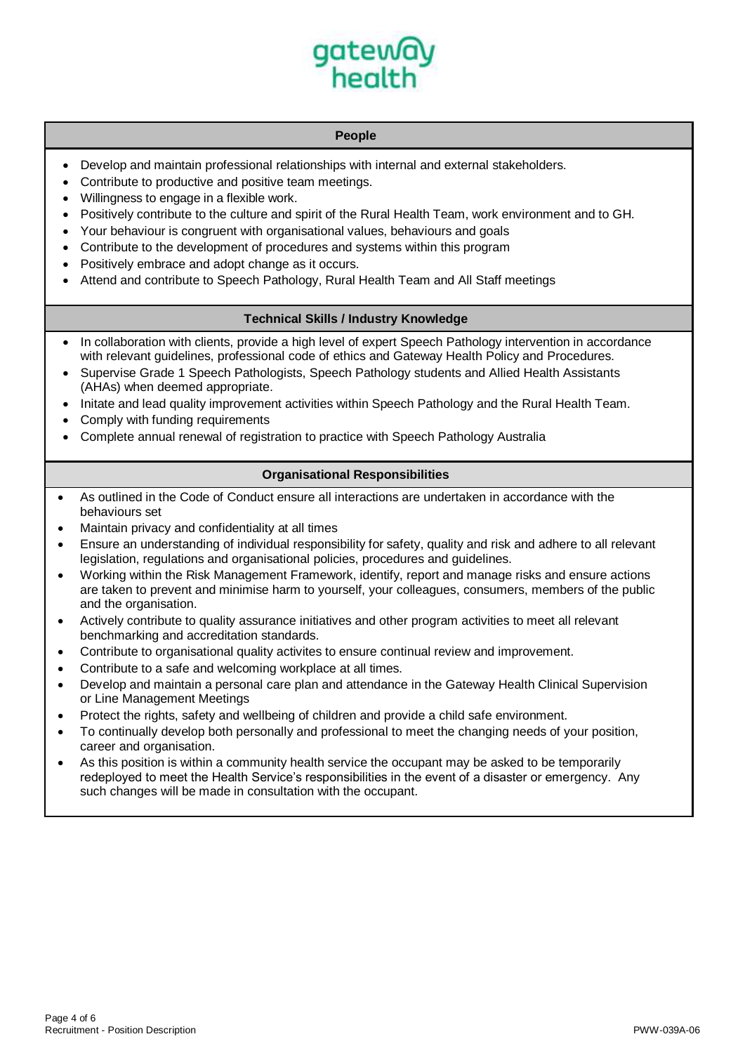

# **People**

- Develop and maintain professional relationships with internal and external stakeholders.
- Contribute to productive and positive team meetings.
- Willingness to engage in a flexible work.
- Positively contribute to the culture and spirit of the Rural Health Team, work environment and to GH.
- Your behaviour is congruent with organisational values, behaviours and goals
- Contribute to the development of procedures and systems within this program
- Positively embrace and adopt change as it occurs.
- Attend and contribute to Speech Pathology, Rural Health Team and All Staff meetings

## **Technical Skills / Industry Knowledge**

- In collaboration with clients, provide a high level of expert Speech Pathology intervention in accordance with relevant guidelines, professional code of ethics and Gateway Health Policy and Procedures.
- Supervise Grade 1 Speech Pathologists, Speech Pathology students and Allied Health Assistants (AHAs) when deemed appropriate.
- Initate and lead quality improvement activities within Speech Pathology and the Rural Health Team.
- Comply with funding requirements
- Complete annual renewal of registration to practice with Speech Pathology Australia

# **Organisational Responsibilities**

- As outlined in the Code of Conduct ensure all interactions are undertaken in accordance with the behaviours set
- Maintain privacy and confidentiality at all times
- Ensure an understanding of individual responsibility for safety, quality and risk and adhere to all relevant legislation, regulations and organisational policies, procedures and guidelines.
- Working within the Risk Management Framework, identify, report and manage risks and ensure actions are taken to prevent and minimise harm to yourself, your colleagues, consumers, members of the public and the organisation.
- Actively contribute to quality assurance initiatives and other program activities to meet all relevant benchmarking and accreditation standards.
- Contribute to organisational quality activites to ensure continual review and improvement.
- Contribute to a safe and welcoming workplace at all times.
- Develop and maintain a personal care plan and attendance in the Gateway Health Clinical Supervision or Line Management Meetings
- Protect the rights, safety and wellbeing of children and provide a child safe environment.
- To continually develop both personally and professional to meet the changing needs of your position, career and organisation.
- As this position is within a community health service the occupant may be asked to be temporarily redeployed to meet the Health Service's responsibilities in the event of a disaster or emergency. Any such changes will be made in consultation with the occupant.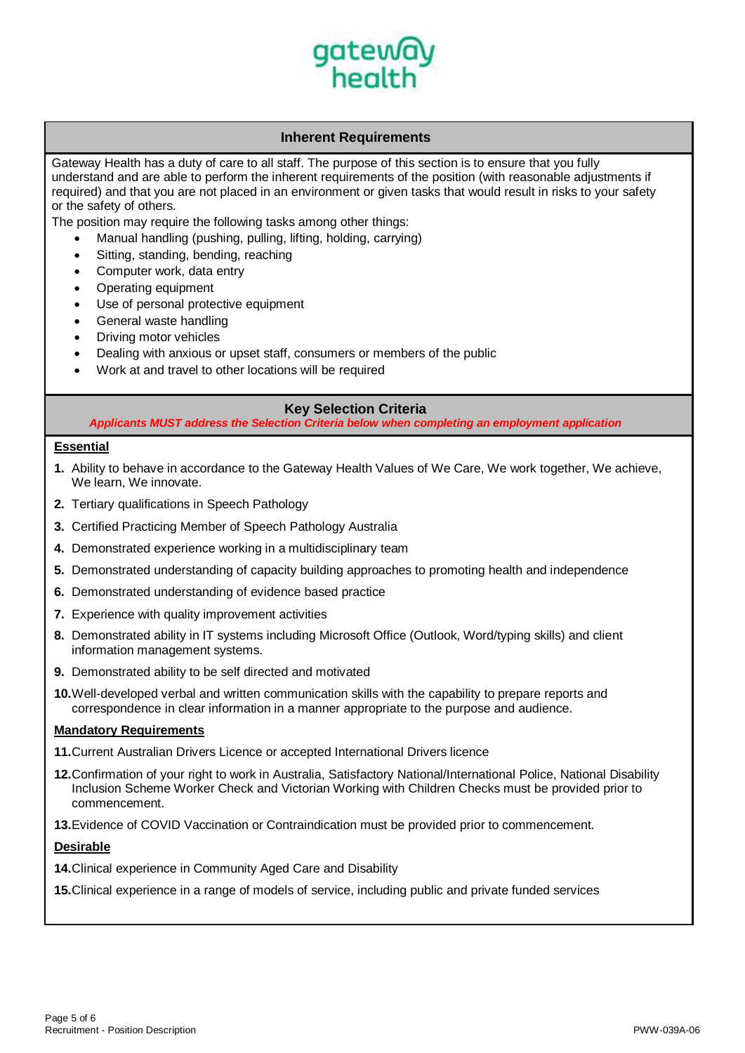

# **Inherent Requirements**

Gateway Health has a duty of care to all staff. The purpose of this section is to ensure that you fully understand and are able to perform the inherent requirements of the position (with reasonable adjustments if required) and that you are not placed in an environment or given tasks that would result in risks to your safety or the safety of others.

The position may require the following tasks among other things:

- Manual handling (pushing, pulling, lifting, holding, carrying)
- Sitting, standing, bending, reaching
- Computer work, data entry
- Operating equipment
- Use of personal protective equipment
- General waste handling
- Driving motor vehicles
- Dealing with anxious or upset staff, consumers or members of the public
- Work at and travel to other locations will be required

# **Key Selection Criteria**

*Applicants MUST address the Selection Criteria below when completing an employment application*

### **Essential**

- **1.** Ability to behave in accordance to the Gateway Health Values of We Care, We work together, We achieve, We learn, We innovate.
- **2.** Tertiary qualifications in Speech Pathology
- **3.** Certified Practicing Member of Speech Pathology Australia
- **4.** Demonstrated experience working in a multidisciplinary team
- **5.** Demonstrated understanding of capacity building approaches to promoting health and independence
- **6.** Demonstrated understanding of evidence based practice
- **7.** Experience with quality improvement activities
- **8.** Demonstrated ability in IT systems including Microsoft Office (Outlook, Word/typing skills) and client information management systems.
- **9.** Demonstrated ability to be self directed and motivated
- **10.**Well-developed verbal and written communication skills with the capability to prepare reports and correspondence in clear information in a manner appropriate to the purpose and audience.

#### **Mandatory Requirements**

- **11.**Current Australian Drivers Licence or accepted International Drivers licence
- **12.**Confirmation of your right to work in Australia, Satisfactory National/International Police, National Disability Inclusion Scheme Worker Check and Victorian Working with Children Checks must be provided prior to commencement.
- **13.**Evidence of COVID Vaccination or Contraindication must be provided prior to commencement.

#### **Desirable**

**14.**Clinical experience in Community Aged Care and Disability

**15.**Clinical experience in a range of models of service, including public and private funded services